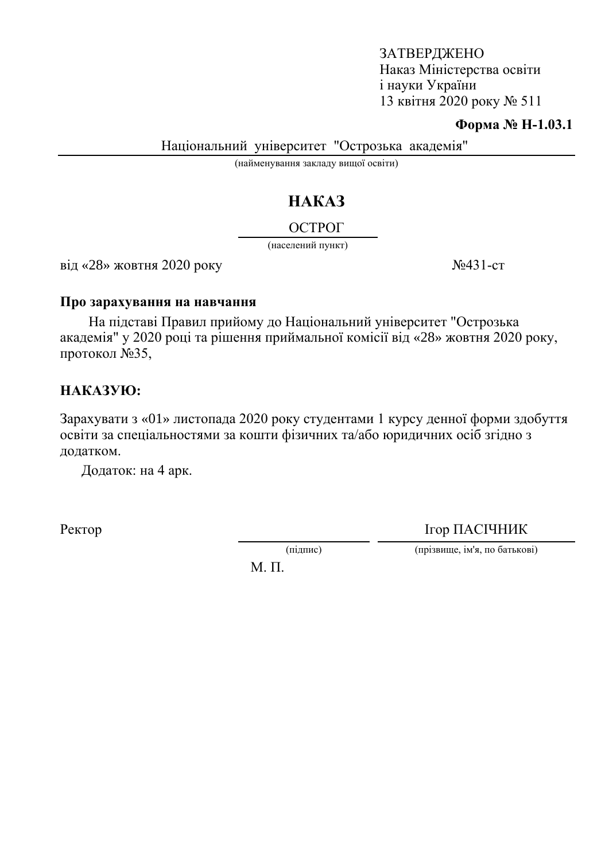### ЗАТВЕРДЖЕНО Наказ Міністерства освіти i науки України 13 квітня 2020 року  $N<sub>2</sub> 511$

#### **Форма № Н-1.03.1**

Національний університет "Острозька академія"

(найменування закладу вищої освіти)

# HAKA3

## ОСТРОГ

(населений пункт)

 $\text{Bi}\xspace$   $\ll$  28» жовтня 2020 року  $\text{Ne}431$ -ст

#### Про зарахування на навчання

На підставі Правил прийому до Національний університет "Острозька академія" у 2020 році та рішення приймальної комісії від «28» жовтня 2020 року, протокол  $N<sub>235</sub>$ ,

## HAKA3YIO:

Зарахувати з «01» листопада 2020 року студентами 1 курсу денної форми здобуття освіти за спеціальностями за кошти фізичних та/або юридичних осіб згідно з додатком.

Додаток: на 4 арк.

Ректор ПАСІЧНИК

(підпис) (прізвище, ім'я, по батькові)

 $M$ .  $\Pi$ .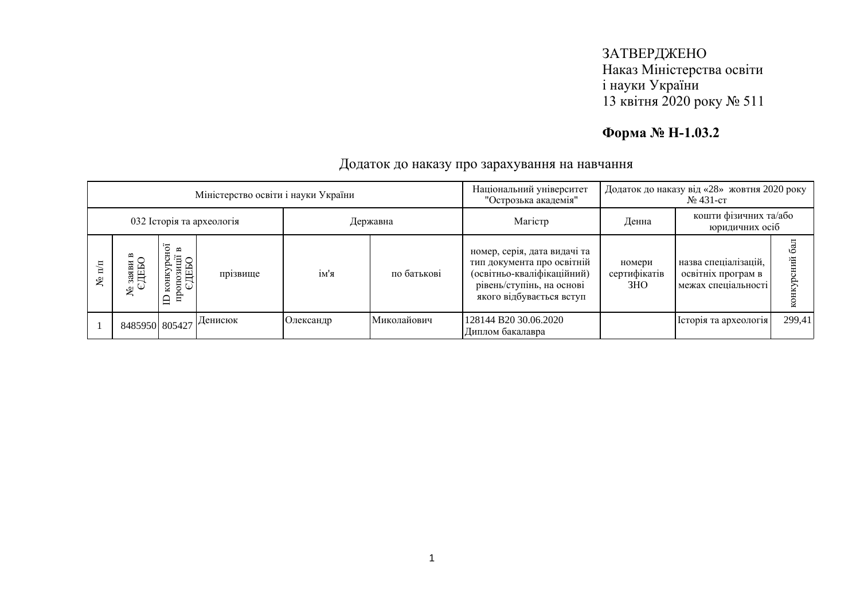## **Форма № Н-1.03.2**

| Міністерство освіти і науки України |                |                                                             |          |           |             | Національний університет<br>"Острозька академія"                                                                                                  | Додаток до наказу від «28» жовтня 2020 року<br>$N_2$ 431-ct |                                                                   |        |
|-------------------------------------|----------------|-------------------------------------------------------------|----------|-----------|-------------|---------------------------------------------------------------------------------------------------------------------------------------------------|-------------------------------------------------------------|-------------------------------------------------------------------|--------|
| 032 Історія та археологія           |                |                                                             |          | Державна  |             | Maricrp                                                                                                                                           | кошти фізичних та/або<br>Денна<br>юридичних осіб            |                                                                   |        |
| ي<br>ح                              | ৼ              | $\mathbf{\underline{\infty}}$<br>DEED.<br><b>KOHKY</b><br>Ê | прізвище | ім'я      | по батькові | номер, серія, дата видачі та<br>тип документа про освітній<br>(освітньо-кваліфікаційний)<br>рівень/ступінь, на основі<br>якого відбувається вступ | номери<br>сертифікатів<br>3HO                               | назва спеціалізацій,<br>освітніх програм в<br>межах спеціальності |        |
|                                     | 8485950 805427 |                                                             | Денисюк  | Олександр | Миколайович | 128144 B20 30.06.2020<br>Диплом бакалавра                                                                                                         |                                                             | Історія та археологія                                             | 299,41 |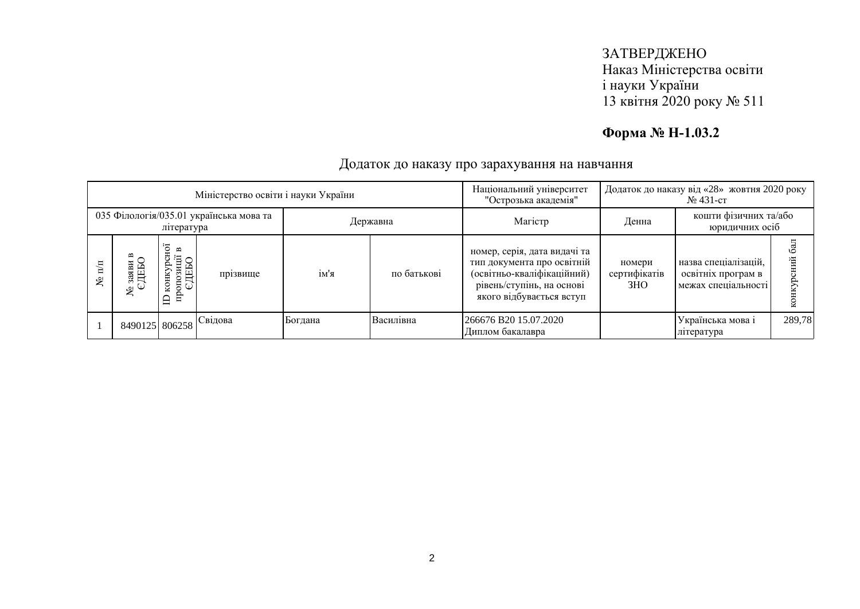## **Форма № Н-1.03.2**

| Міністерство освіти і науки України                   |                |                                                     |          |          |             | Національний університет<br>"Острозька академія"                                                                                                  | Додаток до наказу від «28» жовтня 2020 року<br>$N_2$ 431-ct |                                                                   |        |
|-------------------------------------------------------|----------------|-----------------------------------------------------|----------|----------|-------------|---------------------------------------------------------------------------------------------------------------------------------------------------|-------------------------------------------------------------|-------------------------------------------------------------------|--------|
| 035 Філологія/035.01 українська мова та<br>література |                |                                                     |          | Державна |             | Maricrp                                                                                                                                           | кошти фізичних та/або<br>Денна<br>юридичних осіб            |                                                                   |        |
| $\mathbf{n}$<br>يع                                    | ৼ              | тозиції<br>ДЕБО<br>конку<br>$\frac{1}{2}$<br>흡<br>≘ | прізвище | ім'я     | по батькові | номер, серія, дата видачі та<br>тип документа про освітній<br>(освітньо-кваліфікаційний)<br>рівень/ступінь, на основі<br>якого відбувається вступ | номери<br>сертифікатів<br>3HO                               | назва спеціалізацій,<br>освітніх програм в<br>межах спеціальності |        |
|                                                       | 8490125 806258 |                                                     | Свідова  | Богдана  | Василівна   | 266676 B20 15.07.2020<br>Диплом бакалавра                                                                                                         |                                                             | Українська мова і<br>література                                   | 289,78 |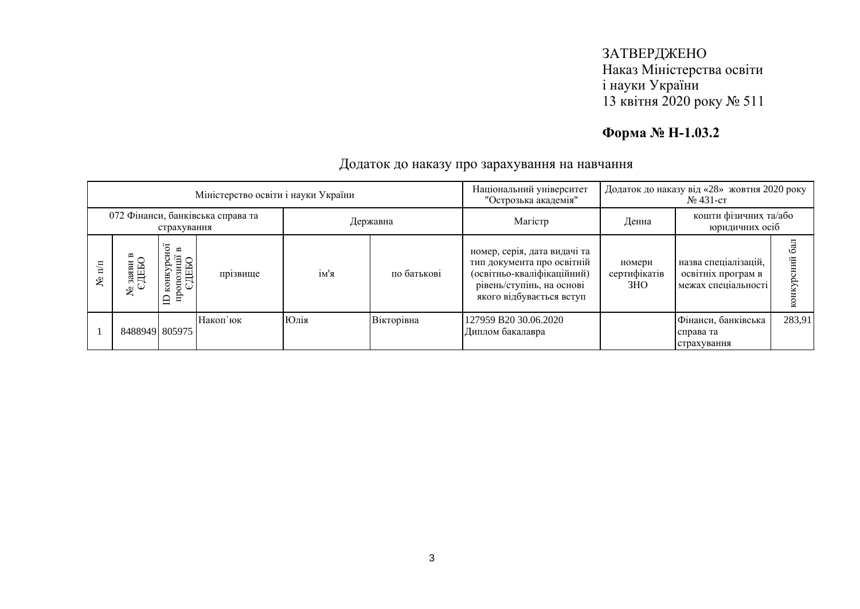## **Форма № Н-1.03.2**

| Міністерство освіти і науки України              |                |                                                                    |          |          |             | Національний університет<br>"Острозька академія"                                                                                                  | Додаток до наказу від «28» жовтня 2020 року<br>$N_2$ 431-ct |                                                                   |        |
|--------------------------------------------------|----------------|--------------------------------------------------------------------|----------|----------|-------------|---------------------------------------------------------------------------------------------------------------------------------------------------|-------------------------------------------------------------|-------------------------------------------------------------------|--------|
| 072 Фінанси, банківська справа та<br>страхування |                |                                                                    |          | Державна |             | Maricrp                                                                                                                                           | кошти фізичних та/або<br>Денна<br>юридичних осіб            |                                                                   |        |
| $\overline{\mathbb{H}}$<br>٤                     | ৼ              | нoї<br>$\mathbf{r}$<br>Έİ<br>ДЕБО<br>конкур<br>3H<br>OПО<br>읍<br>≘ | прізвище | ім'я     | по батькові | номер, серія, дата видачі та<br>тип документа про освітній<br>(освітньо-кваліфікаційний)<br>рівень/ступінь, на основі<br>якого відбувається вступ | номери<br>сертифікатів<br>3HO                               | назва спеціалізацій,<br>освітніх програм в<br>межах спеціальності |        |
|                                                  | 84889491805975 |                                                                    | Накоп'юк | Юлія     | Вікторівна  | 127959 B20 30.06.2020<br>Диплом бакалавра                                                                                                         |                                                             | Фінанси, банківська<br>справа та<br>страхування                   | 283,91 |